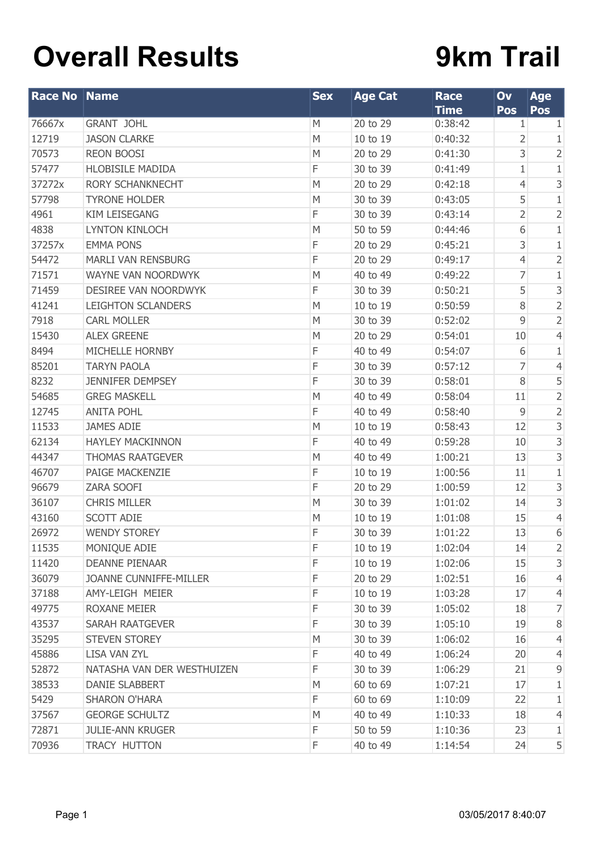## **Overall Results**

## **9km Trail**

| <b>Race No Name</b> |                               | <b>Sex</b> | <b>Age Cat</b> | <b>Race</b><br><b>Time</b> | Ov<br>Pos   | <b>Age</b><br>Pos         |
|---------------------|-------------------------------|------------|----------------|----------------------------|-------------|---------------------------|
| 76667x              | <b>GRANT JOHL</b>             | M          | 20 to 29       | 0:38:42                    | 1           | 1                         |
| 12719               | <b>JASON CLARKE</b>           | M          | 10 to 19       | 0:40:32                    | 2           | 1                         |
| 70573               | <b>REON BOOSI</b>             | M          | 20 to 29       | 0:41:30                    | 3           | $\overline{2}$            |
| 57477               | <b>HLOBISILE MADIDA</b>       | F          | 30 to 39       | 0:41:49                    | 1           | $\mathbf{1}$              |
| 37272x              | <b>RORY SCHANKNECHT</b>       | M          | 20 to 29       | 0:42:18                    | 4           | $\ensuremath{\mathsf{3}}$ |
| 57798               | <b>TYRONE HOLDER</b>          | M          | 30 to 39       | 0:43:05                    | 5           | $\mathbf{1}$              |
| 4961                | <b>KIM LEISEGANG</b>          | F          | 30 to 39       | 0:43:14                    | 2           | $\overline{2}$            |
| 4838                | <b>LYNTON KINLOCH</b>         | M          | 50 to 59       | 0:44:46                    | 6           | $\mathbf{1}$              |
| 37257x              | <b>EMMA PONS</b>              | F          | 20 to 29       | 0:45:21                    | 3           | $\mathbf{1}$              |
| 54472               | <b>MARLI VAN RENSBURG</b>     | F          | 20 to 29       | 0:49:17                    | 4           | $\overline{c}$            |
| 71571               | WAYNE VAN NOORDWYK            | M          | 40 to 49       | 0:49:22                    | 7           | $\mathbf{1}$              |
| 71459               | DESIREE VAN NOORDWYK          | F          | 30 to 39       | 0:50:21                    | 5           | $\ensuremath{\mathsf{3}}$ |
| 41241               | <b>LEIGHTON SCLANDERS</b>     | M          | 10 to 19       | 0:50:59                    | 8           | $\overline{2}$            |
| 7918                | <b>CARL MOLLER</b>            | M          | 30 to 39       | 0:52:02                    | 9           | $\overline{2}$            |
| 15430               | <b>ALEX GREENE</b>            | M          | 20 to 29       | 0:54:01                    | 10          | $\overline{4}$            |
| 8494                | MICHELLE HORNBY               | F          | 40 to 49       | 0:54:07                    | 6           | 1                         |
| 85201               | <b>TARYN PAOLA</b>            | F          | 30 to 39       | 0:57:12                    | 7           | $\overline{4}$            |
| 8232                | <b>JENNIFER DEMPSEY</b>       | F          | 30 to 39       | 0:58:01                    | 8           | 5                         |
| 54685               | <b>GREG MASKELL</b>           | M          | 40 to 49       | 0:58:04                    | 11          | $\overline{2}$            |
| 12745               | <b>ANITA POHL</b>             | F          | 40 to 49       | 0:58:40                    | $\mathsf 9$ | $\overline{2}$            |
| 11533               | <b>JAMES ADIE</b>             | M          | 10 to 19       | 0:58:43                    | 12          | $\mathsf 3$               |
| 62134               | <b>HAYLEY MACKINNON</b>       | F          | 40 to 49       | 0:59:28                    | 10          | 3                         |
| 44347               | <b>THOMAS RAATGEVER</b>       | M          | 40 to 49       | 1:00:21                    | 13          | $\mathsf 3$               |
| 46707               | PAIGE MACKENZIE               | F          | 10 to 19       | 1:00:56                    | 11          | $\mathbf{1}$              |
| 96679               | ZARA SOOFI                    | F          | 20 to 29       | 1:00:59                    | 12          | 3                         |
| 36107               | <b>CHRIS MILLER</b>           | M          | 30 to 39       | 1:01:02                    | 14          | 3                         |
| 43160               | <b>SCOTT ADIE</b>             | M          | 10 to 19       | 1:01:08                    | 15          | $\overline{4}$            |
| 26972               | <b>WENDY STOREY</b>           | F          | 30 to 39       | 1:01:22                    | 13          | 6                         |
| 11535               | MONIQUE ADIE                  | F          | 10 to 19       | 1:02:04                    | 14          | $\overline{2}$            |
| 11420               | <b>DEANNE PIENAAR</b>         | F          | 10 to 19       | 1:02:06                    | 15          | 3                         |
| 36079               | <b>JOANNE CUNNIFFE-MILLER</b> | F          | 20 to 29       | 1:02:51                    | 16          | 4                         |
| 37188               | AMY-LEIGH MEIER               | F          | 10 to 19       | 1:03:28                    | 17          | 4                         |
| 49775               | <b>ROXANE MEIER</b>           | F          | 30 to 39       | 1:05:02                    | 18          | 7                         |
| 43537               | SARAH RAATGEVER               | F          | 30 to 39       | 1:05:10                    | 19          | $8\,$                     |
| 35295               | <b>STEVEN STOREY</b>          | M          | 30 to 39       | 1:06:02                    | 16          | 4                         |
| 45886               | <b>LISA VAN ZYL</b>           | F          | 40 to 49       | 1:06:24                    | 20          | 4                         |
| 52872               | NATASHA VAN DER WESTHUIZEN    | F          | 30 to 39       | 1:06:29                    | 21          | 9                         |
| 38533               | DANIE SLABBERT                | M          | 60 to 69       | 1:07:21                    | 17          | 1                         |
| 5429                | <b>SHARON O'HARA</b>          | F          | 60 to 69       | 1:10:09                    | 22          | 1                         |
| 37567               | <b>GEORGE SCHULTZ</b>         | M          | 40 to 49       | 1:10:33                    | 18          | 4                         |
| 72871               | <b>JULIE-ANN KRUGER</b>       | F          | 50 to 59       | 1:10:36                    | 23          | 1                         |
| 70936               | TRACY HUTTON                  | F          | 40 to 49       | 1:14:54                    | 24          | 5                         |